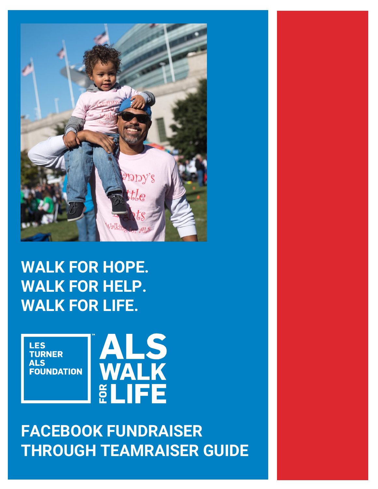

# **WALK FOR HOPE. WALK FOR HELP. WALK FOR LIFE.**



# **FACEBOOK FUNDRAISER THROUGH TEAMRAISER GUIDE**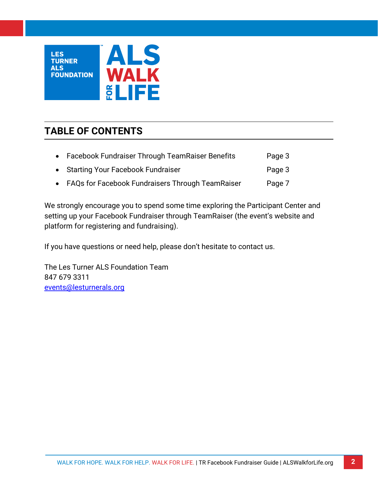

# **TABLE OF CONTENTS**

| • Facebook Fundraiser Through TeamRaiser Benefits  | Page 3 |
|----------------------------------------------------|--------|
| • Starting Your Facebook Fundraiser                | Page 3 |
| • FAQs for Facebook Fundraisers Through TeamRaiser | Page 7 |

We strongly encourage you to spend some time exploring the Participant Center and setting up your Facebook Fundraiser through TeamRaiser (the event's website and platform for registering and fundraising).

If you have questions or need help, please don't hesitate to contact us.

The Les Turner ALS Foundation Team 847 679 3311 [events@lesturnerals.org](mailto:events@lesturnerals.org)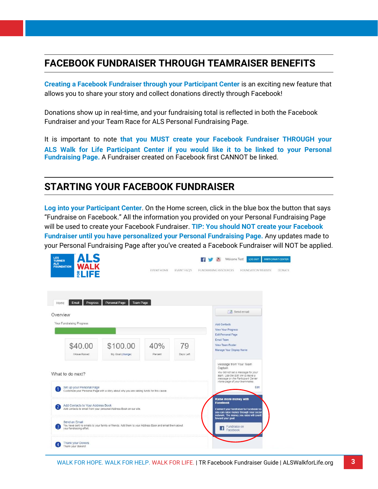# **FACEBOOK FUNDRAISER THROUGH TEAMRAISER BENEFITS**

**Creating a Facebook Fundraiser through your Participant Center** is an exciting new feature that allows you to share your story and collect donations directly through Facebook!

Donations show up in real-time, and your fundraising total is reflected in both the Facebook Fundraiser and your Team Race for ALS Personal Fundraising Page.

It is important to note **that you MUST create your Facebook Fundraiser THROUGH your ALS Walk for Life Participant Center if you would like it to be linked to your Personal Fundraising Page.** A Fundraiser created on Facebook first CANNOT be linked.

## **STARTING YOUR FACEBOOK FUNDRAISER**

**Log into your Participant Center**. On the Home screen, click in the blue box the button that says "Fundraise on Facebook." All the information you provided on your Personal Fundraising Page will be used to create your Facebook Fundraiser. **TIP: You should NOT create your Facebook Fundraiser until you have personalized your Personal Fundraising Page.** Any updates made to your Personal Fundraising Page after you've created a Facebook Fundraiser will NOT be applied.

| ALS<br><b>LES</b><br><b>TURNER</b><br><b>ALS</b><br>WALK<br><b>FOUNDATION</b><br><b>ELIFE</b> |                                                                                                       | EVENT HOME     | <b>EVENT FAO'S</b> | FUNDRAISING RESOURCES | Welcome Test!                                                             | LOGOUT<br>FOUNDATION WEBSITE                                                                                                                  | <b>PARTICIPANT CENTER</b><br><b>DONATE</b> |
|-----------------------------------------------------------------------------------------------|-------------------------------------------------------------------------------------------------------|----------------|--------------------|-----------------------|---------------------------------------------------------------------------|-----------------------------------------------------------------------------------------------------------------------------------------------|--------------------------------------------|
| Progress<br>Email<br>Home<br>Overview<br>Your Fundraising Progress                            | Personal Page<br>Team Page                                                                            |                |                    |                       | <b>Add Contacts</b><br>View Your Progress                                 | Send email                                                                                                                                    |                                            |
| \$40.00<br>I Have Raised                                                                      | \$100.00<br>My Goal (change)                                                                          | 40%<br>Percent | 79<br>Days Left    | Email Team            | Edit Personal Page<br><b>View Team Roster</b><br>Manage Your Display Name |                                                                                                                                               |                                            |
| What to do next?                                                                              |                                                                                                       |                |                    |                       | Message from Your Team<br>Captain                                         | You did not set a message for your<br>team. Use the Edit link to leave a<br>message on the Participant Center<br>Home page of your teammates. |                                            |
| Set up your Personal Page                                                                     | Customize your Personal Page with a story about why you are raising funds for this cause.             |                |                    |                       | Raise more money with                                                     | Edit                                                                                                                                          |                                            |
| Add Contacts to Your Address Book<br>2                                                        | Add contacts to email from your personal Address Book on our site.                                    |                |                    |                       | <b>Facebook</b><br>toward your goal.                                      | Connect your fundraiser to Facebook so<br>you can raise money through your social<br>network. The money you raise will count                  |                                            |
| Send an Email<br>your fundraising effort.                                                     | You have sent no emails to your family or friends. Add them to your Address Book and email them about |                |                    |                       | Fundraise on<br>$\mathbf{f}$<br>Facebook                                  |                                                                                                                                               |                                            |
| <b>Thank your Donors</b><br>4<br>Thank your donors!                                           |                                                                                                       |                |                    |                       |                                                                           |                                                                                                                                               |                                            |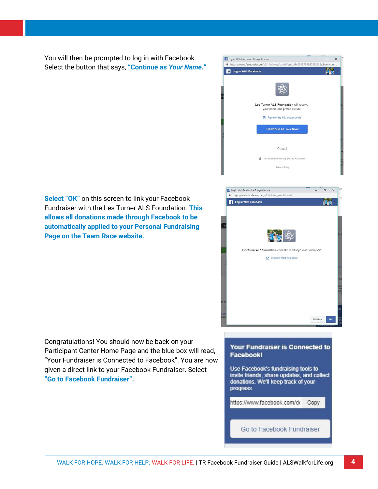You will then be prompted to log in with Facebook. Select the button that says, **"Continue as** *Your Name***."**

**Select "OK"** on this screen to link your Facebook Fundraiser with the Les Turner ALS Foundation. **This allows all donations made through Facebook to be automatically applied to your Personal Fundraising Page on the Team Race website.**





Congratulations! You should now be back on your Participant Center Home Page and the blue box will read, "Your Fundraiser is Connected to Facebook". You are now given a direct link to your Facebook Fundraiser. Select **"Go to Facebook Fundraiser".**

### Your Fundraiser is Connected to Facebook!

Use Facebook's fundraising tools to invite friends, share updates, and collect donations. We'll keep track of your progress.

https://www.facebook.com/do Copy

Go to Facebook Fundraiser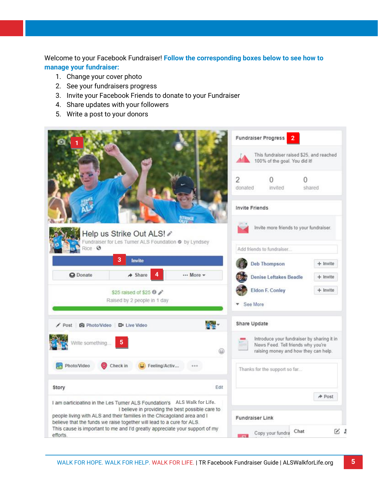Welcome to your Facebook Fundraiser! **Follow the corresponding boxes below to see how to manage your fundraiser:** 

- 1. Change your cover photo
- 2. See your fundraisers progress
- 3. Invite your Facebook Friends to donate to your Fundraiser
- 4. Share updates with your followers
- 5. Write a post to your donors

|                                                                                                                                                                                                      | <b>Fundraiser Progress</b>                                                |                                                                                                                          |                 |  |  |
|------------------------------------------------------------------------------------------------------------------------------------------------------------------------------------------------------|---------------------------------------------------------------------------|--------------------------------------------------------------------------------------------------------------------------|-----------------|--|--|
|                                                                                                                                                                                                      | This fundraiser raised \$25, and reached<br>100% of the goal. You did it! |                                                                                                                          |                 |  |  |
|                                                                                                                                                                                                      | $\overline{2}$<br>donated                                                 | invited                                                                                                                  | n<br>shared     |  |  |
|                                                                                                                                                                                                      | <b>Invite Friends</b>                                                     |                                                                                                                          |                 |  |  |
| Help us Strike Out ALS! /<br>Fundraiser for Les Turner ALS Foundation @ by Lyndsey                                                                                                                   |                                                                           | Invite more friends to your fundraiser.                                                                                  |                 |  |  |
| Rice <b>@</b>                                                                                                                                                                                        | Add friends to fundraiser                                                 |                                                                                                                          |                 |  |  |
| 3<br>Invite                                                                                                                                                                                          |                                                                           | <b>Deb Thompson</b>                                                                                                      | + Invite        |  |  |
| 4<br>$\triangle$ Share<br>More -<br><b>Q</b> Donate                                                                                                                                                  |                                                                           | <b>Denise Leftakes Beadle</b>                                                                                            | $+$ Invite      |  |  |
| \$25 raised of \$25 0<br>Raised by 2 people in 1 day                                                                                                                                                 | <b>Eldon F. Conley</b><br>$+$ Invite<br>See More                          |                                                                                                                          |                 |  |  |
| Post @ Photo/Video DI Live Video                                                                                                                                                                     | Share Update                                                              |                                                                                                                          |                 |  |  |
| Write something<br>۵                                                                                                                                                                                 |                                                                           | Introduce your fundraiser by sharing it in<br>News Feed. Tell friends why you're<br>raising money and how they can help. |                 |  |  |
| Photo/Video<br>Check in<br>Feeling/Activ                                                                                                                                                             | Thanks for the support so far                                             |                                                                                                                          |                 |  |  |
| Story<br>Edit                                                                                                                                                                                        |                                                                           |                                                                                                                          |                 |  |  |
| I am participating in the Les Turner ALS Foundation's ALS Walk for Life.                                                                                                                             | A Post                                                                    |                                                                                                                          |                 |  |  |
| I believe in providing the best possible care to<br>people living with ALS and their families in the Chicagoland area and I<br>believe that the funds we raise together will lead to a cure for ALS. | <b>Fundraiser Link</b>                                                    |                                                                                                                          |                 |  |  |
| This cause is important to me and I'd greatly appreciate your support of my<br>efforts.                                                                                                              |                                                                           | Chat<br>Copy your fundra                                                                                                 | $\mathcal{C}$ : |  |  |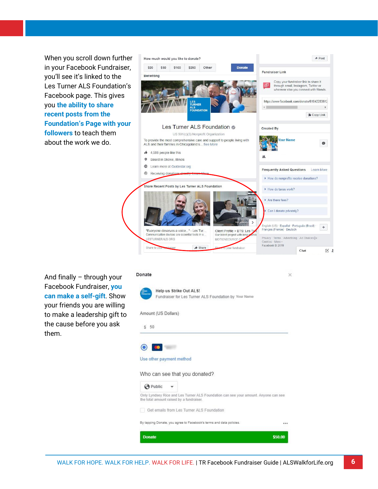When you scroll down further in your Facebook Fundraiser, you'll see it's linked to the Les Turner ALS Foundation's Facebook page. This gives you **the ability to share recent posts from the Foundation's Page with your followers** to teach them about the work we do.



 $\geq$ 

And finally – through your Facebook Fundraiser, **you can make a self-gift**. Show your friends you are willing to make a leadership gift to the cause before you ask them.

#### Donate



Help us Strike Out ALS! Fundraiser for Les Turner ALS Foundation by Your Name

Amount (US Dollars)

#### $$50$



#### Use other payment method

#### Who can see that you donated?

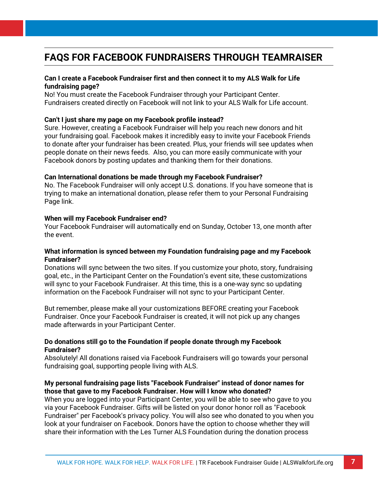## **FAQS FOR FACEBOOK FUNDRAISERS THROUGH TEAMRAISER**

### **Can I create a Facebook Fundraiser first and then connect it to my ALS Walk for Life fundraising page?**

No! You must create the Facebook Fundraiser through your Participant Center. Fundraisers created directly on Facebook will not link to your ALS Walk for Life account.

### **Can't I just share my page on my Facebook profile instead?**

Sure. However, creating a Facebook Fundraiser will help you reach new donors and hit your fundraising goal. Facebook makes it incredibly easy to invite your Facebook Friends to donate after your fundraiser has been created. Plus, your friends will see updates when people donate on their news feeds. Also, you can more easily communicate with your Facebook donors by posting updates and thanking them for their donations.

### **Can International donations be made through my Facebook Fundraiser?**

No. The Facebook Fundraiser will only accept U.S. donations. If you have someone that is trying to make an international donation, please refer them to your Personal Fundraising Page link.

### **When will my Facebook Fundraiser end?**

Your Facebook Fundraiser will automatically end on Sunday, October 13, one month after the event.

### **What information is synced between my Foundation fundraising page and my Facebook Fundraiser?**

Donations will sync between the two sites. If you customize your photo, story, fundraising goal, etc., in the Participant Center on the Foundation's event site, these customizations will sync to your Facebook Fundraiser. At this time, this is a one-way sync so updating information on the Facebook Fundraiser will not sync to your Participant Center.

But remember, please make all your customizations BEFORE creating your Facebook Fundraiser. Once your Facebook Fundraiser is created, it will not pick up any changes made afterwards in your Participant Center.

### **Do donations still go to the Foundation if people donate through my Facebook Fundraiser?**

Absolutely! All donations raised via Facebook Fundraisers will go towards your personal fundraising goal, supporting people living with ALS.

### **My personal fundraising page lists "Facebook Fundraiser" instead of donor names for those that gave to my Facebook Fundraiser. How will I know who donated?**

When you are logged into your Participant Center, you will be able to see who gave to you via your Facebook Fundraiser. Gifts will be listed on your donor honor roll as "Facebook Fundraiser" per Facebook's privacy policy. You will also see who donated to you when you look at your fundraiser on Facebook. Donors have the option to choose whether they will share their information with the Les Turner ALS Foundation during the donation process